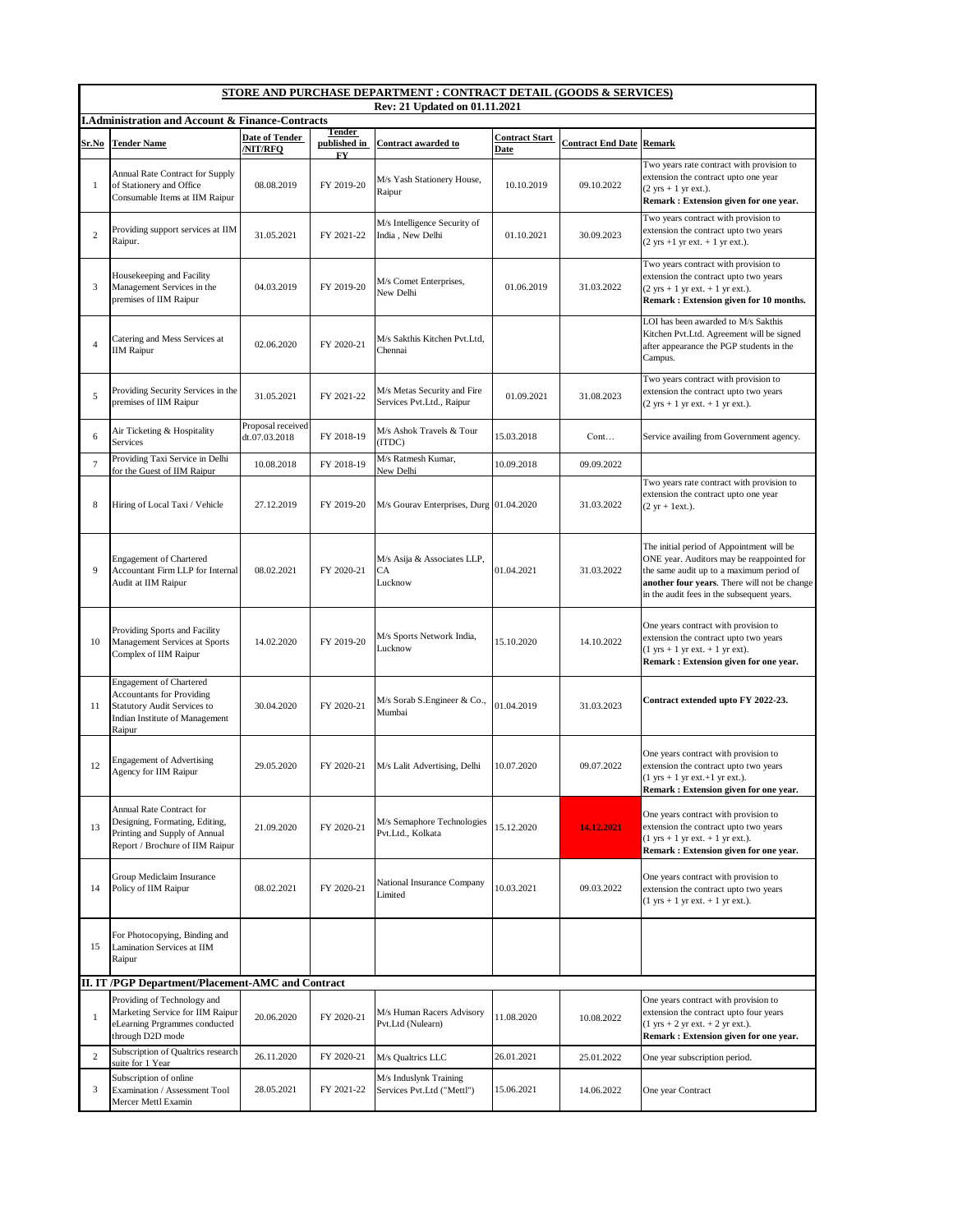| STORE AND PURCHASE DEPARTMENT : CONTRACT DETAIL (GOODS & SERVICES)<br>Rev: 21 Updated on 01.11.2021 |                                                                                                                                                      |                                    |                               |                                                          |                                      |                                 |                                                                                                                                                                                                                                  |  |  |  |  |
|-----------------------------------------------------------------------------------------------------|------------------------------------------------------------------------------------------------------------------------------------------------------|------------------------------------|-------------------------------|----------------------------------------------------------|--------------------------------------|---------------------------------|----------------------------------------------------------------------------------------------------------------------------------------------------------------------------------------------------------------------------------|--|--|--|--|
| <b>I.Administration and Account &amp; Finance-Contracts</b>                                         |                                                                                                                                                      |                                    |                               |                                                          |                                      |                                 |                                                                                                                                                                                                                                  |  |  |  |  |
| Sr.No                                                                                               | <b>Tender Name</b>                                                                                                                                   | Date of Tender<br><b>NIT/RFO</b>   | Tender<br>published in<br>FY. | Contract awarded to                                      | <b>Contract Start</b><br><b>Date</b> | <b>Contract End Date Remark</b> |                                                                                                                                                                                                                                  |  |  |  |  |
| $\mathbf{1}$                                                                                        | Annual Rate Contract for Supply<br>of Stationery and Office<br>Consumable Items at IIM Raipur                                                        | 08.08.2019                         | FY 2019-20                    | M/s Yash Stationery House,<br>Raipur                     | 10.10.2019                           | 09.10.2022                      | Two years rate contract with provision to<br>extension the contract upto one year<br>$(2 \text{ yrs} + 1 \text{ yr ext.}).$<br>Remark : Extension given for one year.                                                            |  |  |  |  |
| $\overline{c}$                                                                                      | Providing support services at IIM<br>Raipur.                                                                                                         | 31.05.2021                         | FY 2021-22                    | M/s Intelligence Security of<br>India, New Delhi         | 01.10.2021                           | 30.09.2023                      | Two years contract with provision to<br>extension the contract upto two years<br>$(2 \text{ yrs } +1 \text{ yr ext. } +1 \text{ yr ext.}).$                                                                                      |  |  |  |  |
| 3                                                                                                   | Housekeeping and Facility<br>Management Services in the<br>premises of IIM Raipur                                                                    | 04.03.2019                         | FY 2019-20                    | M/s Comet Enterprises,<br>New Delhi                      | 01.06.2019                           | 31.03.2022                      | Two years contract with provision to<br>extension the contract upto two years<br>$(2 \text{ yrs} + 1 \text{ yr} \text{ ext.} + 1 \text{ yr} \text{ ext.}).$<br>Remark: Extension given for 10 months.                            |  |  |  |  |
| $\overline{4}$                                                                                      | Catering and Mess Services at<br><b>IIM Raipur</b>                                                                                                   | 02.06.2020                         | FY 2020-21                    | M/s Sakthis Kitchen Pvt.Ltd,<br>Chennai                  |                                      |                                 | LOI has been awarded to M/s Sakthis<br>Kitchen Pvt.Ltd. Agreement will be signed<br>after appearance the PGP students in the<br>Campus.                                                                                          |  |  |  |  |
| 5                                                                                                   | Providing Security Services in the<br>premises of IIM Raipur                                                                                         | 31.05.2021                         | FY 2021-22                    | M/s Metas Security and Fire<br>Services Pvt.Ltd., Raipur | 01.09.2021                           | 31.08.2023                      | Two years contract with provision to<br>extension the contract upto two years<br>$(2 \text{ yrs} + 1 \text{ yr ext.} + 1 \text{ yr ext.}).$                                                                                      |  |  |  |  |
| 6                                                                                                   | Air Ticketing & Hospitality<br>Services                                                                                                              | Proposal received<br>dt.07.03.2018 | FY 2018-19                    | M/s Ashok Travels & Tour<br>(ITDC)                       | 15.03.2018                           | Cont                            | Service availing from Government agency.                                                                                                                                                                                         |  |  |  |  |
| $\tau$                                                                                              | Providing Taxi Service in Delhi<br>for the Guest of IIM Raipur                                                                                       | 10.08.2018                         | FY 2018-19                    | M/s Ratmesh Kumar.<br>New Delhi                          | 10.09.2018                           | 09.09.2022                      |                                                                                                                                                                                                                                  |  |  |  |  |
| 8                                                                                                   | Hiring of Local Taxi / Vehicle                                                                                                                       | 27.12.2019                         | FY 2019-20                    | M/s Gourav Enterprises, Durg 01.04.2020                  |                                      | 31.03.2022                      | Two years rate contract with provision to<br>extension the contract upto one year<br>$(2 \text{ yr} + \text{1ext.}).$                                                                                                            |  |  |  |  |
| 9                                                                                                   | <b>Engagement of Chartered</b><br>Accountant Firm LLP for Internal<br>Audit at IIM Raipur                                                            | 08.02.2021                         | FY 2020-21                    | M/s Asija & Associates LLP,<br>CA<br>Lucknow             | 01.04.2021                           | 31.03.2022                      | The initial period of Appointment will be<br>ONE year. Auditors may be reappointed for<br>the same audit up to a maximum period of<br>another four years. There will not be change<br>in the audit fees in the subsequent years. |  |  |  |  |
| 10                                                                                                  | Providing Sports and Facility<br>Management Services at Sports<br>Complex of IIM Raipur                                                              | 14.02.2020                         | FY 2019-20                    | M/s Sports Network India,<br>Lucknow                     | 15.10.2020                           | 14.10.2022                      | One years contract with provision to<br>extension the contract upto two years<br>$(1 \text{ yrs} + 1 \text{ yr ext.} + 1 \text{ yr ext}).$<br>Remark: Extension given for one year.                                              |  |  |  |  |
| 11                                                                                                  | <b>Engagement of Chartered</b><br><b>Accountants for Providing</b><br><b>Statutory Audit Services to</b><br>Indian Institute of Management<br>Raipur | 30.04.2020                         | FY 2020-21                    | M/s Sorab S.Engineer & Co.,<br>Mumbai                    | 01.04.2019                           | 31.03.2023                      | Contract extended upto FY 2022-23.                                                                                                                                                                                               |  |  |  |  |
| 12                                                                                                  | <b>Engagement of Advertising</b><br>Agency for IIM Raipur                                                                                            | 29.05.2020                         | FY 2020-21                    | M/s Lalit Advertising, Delhi                             | 10.07.2020                           | 09.07.2022                      | One years contract with provision to<br>extension the contract upto two years<br>$(1 \text{ yrs} + 1 \text{ yr ext.} + 1 \text{ yr ext.}).$<br>Remark: Extension given for one year.                                             |  |  |  |  |
| 13                                                                                                  | Annual Rate Contract for<br>Designing, Formating, Editing,<br>Printing and Supply of Annual<br>Report / Brochure of IIM Raipur                       | 21.09.2020                         | FY 2020-21                    | M/s Semaphore Technologies<br>Pvt.Ltd., Kolkata          | 15.12.2020                           | 14.12.2021                      | One years contract with provision to<br>extension the contract upto two years<br>$(1 \text{ yrs} + 1 \text{ yr ext.} + 1 \text{ yr ext.}).$<br>Remark: Extension given for one year.                                             |  |  |  |  |
| 14                                                                                                  | Group Mediclaim Insurance<br>Policy of IIM Raipur                                                                                                    | 08.02.2021                         | FY 2020-21                    | National Insurance Company<br>Limited                    | 10.03.2021                           | 09.03.2022                      | One years contract with provision to<br>extension the contract upto two years<br>$(1 \text{ yrs} + 1 \text{ yr} \text{ ext.} + 1 \text{ yr} \text{ ext.}).$                                                                      |  |  |  |  |
| 15                                                                                                  | For Photocopying, Binding and<br>Lamination Services at IIM<br>Raipur                                                                                |                                    |                               |                                                          |                                      |                                 |                                                                                                                                                                                                                                  |  |  |  |  |
|                                                                                                     | II. IT /PGP Department/Placement-AMC and Contract                                                                                                    |                                    |                               |                                                          |                                      |                                 |                                                                                                                                                                                                                                  |  |  |  |  |
| $\mathbf{1}$                                                                                        | Providing of Technology and<br>Marketing Service for IIM Raipur<br>eLearning Prgrammes conducted<br>through D2D mode                                 | 20.06.2020                         | FY 2020-21                    | M/s Human Racers Advisory<br>Pvt.Ltd (Nulearn)           | 11.08.2020                           | 10.08.2022                      | One years contract with provision to<br>extension the contract upto four years<br>$(1 \text{ yrs} + 2 \text{ yr} \text{ ext.} + 2 \text{ yr} \text{ ext.}).$<br>Remark: Extension given for one year.                            |  |  |  |  |
| $\overline{c}$                                                                                      | Subscription of Qualtrics research<br>suite for 1 Year                                                                                               | 26.11.2020                         | FY 2020-21                    | M/s Qualtrics LLC                                        | 26.01.2021                           | 25.01.2022                      | One year subscription period.                                                                                                                                                                                                    |  |  |  |  |
| 3                                                                                                   | Subscription of online<br>Examination / Assessment Tool<br>Mercer Mettl Examin                                                                       | 28.05.2021                         | FY 2021-22                    | M/s Induslynk Training<br>Services Pvt.Ltd ("Mettl")     | 15.06.2021                           | 14.06.2022                      | One year Contract                                                                                                                                                                                                                |  |  |  |  |